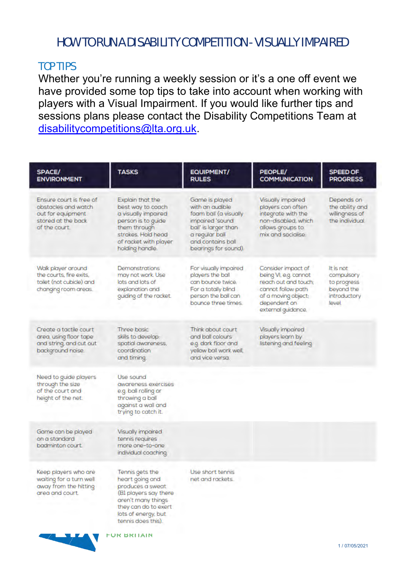## HOW TO RUN A DISABILITY COMPETITION - VISUALLY IMPAIRED

#### TOP TIPS

Whether you're running a weekly session or it's a one off event we have provided some top tips to take into account when working with players with a Visual Impairment. If you would like further tips and sessions plans please contact the Disability Competitions Team at [disabilitycompetitions@lta.org.uk.](mailto:disabilitycompetitions@lta.org.uk)

| <b>SPACE/</b><br><b>ENVIRONMENT</b>                                                                        | <b>TASKS</b>                                                                                                                                                                                     | <b>EQUIPMENT/</b><br><b>RULES</b>                                                                                                                                    | PEOPLE/<br><b>COMMUNICATION</b>                                                                                                                        | <b>SPEED OF</b><br><b>PROGRESS</b>                                            |
|------------------------------------------------------------------------------------------------------------|--------------------------------------------------------------------------------------------------------------------------------------------------------------------------------------------------|----------------------------------------------------------------------------------------------------------------------------------------------------------------------|--------------------------------------------------------------------------------------------------------------------------------------------------------|-------------------------------------------------------------------------------|
| Ensure court is free of<br>obstacles and watch<br>out for equipment<br>stored at the back<br>of the court. | Explain that the<br>best way to coach<br>a visually impaired<br>person is to guide<br>them through<br>strokes. Hold head<br>of racket with player<br>holding handle.                             | Game is played<br>with an audible<br>foam ball (a visually<br>impaired 'sound<br>ball' is larger than<br>a regular ball<br>and contains ball<br>bearings for sound). | <b>Visually impaired</b><br>players can often<br>integrate with the<br>non-disabled, which<br>allows groups to<br>mix and socialise.                   | Depends on<br>the ability and<br>willingness of<br>the individual.            |
| Walk player around<br>the courts, fire exits,<br>toilet (not cubicle) and<br>changing room areas.          | <b>Demonstrations</b><br>may not work. Use<br>lots and lots of<br>explanation and<br>guiding of the racket.                                                                                      | For visually impaired<br>players the ball<br>can bounce twice.<br>For a totally blind<br>person the ball can<br>bounce three times.                                  | Consider impact of<br>being VI, e.g. cannot<br>reach out and touch:<br>cannot follow path<br>of a moving object;<br>dependent on<br>external quidance. | It is not<br>compulsory<br>to progress<br>beyond the<br>introductory<br>level |
| Create a tactile court<br>area, using floor tape<br>and string, and cut out<br>background noise.           | Three basic<br>skills to develop:<br>spatial awareness.<br>coordination<br>and timing.                                                                                                           | Think about court<br>and ball colours<br>e.g. dark floor and<br>yellow ball work well.<br>and vice versa.                                                            | Visually impaired<br>players learn by<br>listening and feeling.                                                                                        |                                                                               |
| Need to guide players<br>through the size<br>of the court and<br>height of the net.                        | Use sound<br>awareness exercises<br>e.g. ball rolling or<br>throwing a ball<br>against a wall and<br>trying to catch it.                                                                         |                                                                                                                                                                      |                                                                                                                                                        |                                                                               |
| Game can be played<br>on a standard<br>badminton court.                                                    | Visually impaired<br>tennis requires<br>more one-to-one<br>individual coaching.                                                                                                                  |                                                                                                                                                                      |                                                                                                                                                        |                                                                               |
| Keep players who are<br>waiting for a turn well<br>away from the hitting<br>area and court.                | Tennis gets the<br>heart going and<br>produces a sweat<br>(BI players say there<br>aren't many things<br>they can do to exert<br>lots of energy, but<br>tennis does this).<br><b>FUR BRITAIN</b> | Use short tennis<br>net and rackets.                                                                                                                                 |                                                                                                                                                        |                                                                               |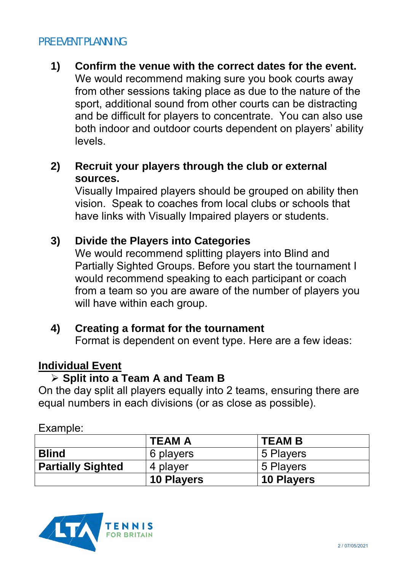### PRE EVENT PLANNING

- **1) Confirm the venue with the correct dates for the event.**  We would recommend making sure you book courts away from other sessions taking place as due to the nature of the sport, additional sound from other courts can be distracting and be difficult for players to concentrate. You can also use both indoor and outdoor courts dependent on players' ability levels.
- **2) Recruit your players through the club or external sources.**

Visually Impaired players should be grouped on ability then vision. Speak to coaches from local clubs or schools that have links with Visually Impaired players or students.

### **3) Divide the Players into Categories**

We would recommend splitting players into Blind and Partially Sighted Groups. Before you start the tournament I would recommend speaking to each participant or coach from a team so you are aware of the number of players you will have within each group.

### **4) Creating a format for the tournament**

Format is dependent on event type. Here are a few ideas:

### **Individual Event**

### **Split into a Team A and Team B**

On the day split all players equally into 2 teams, ensuring there are equal numbers in each divisions (or as close as possible).

| ----------               |                   |                   |  |
|--------------------------|-------------------|-------------------|--|
|                          | <b>TEAM A</b>     | <b>TEAM B</b>     |  |
| <b>Blind</b>             | 6 players         | 5 Players         |  |
| <b>Partially Sighted</b> | 4 player          | 5 Players         |  |
|                          | <b>10 Players</b> | <b>10 Players</b> |  |



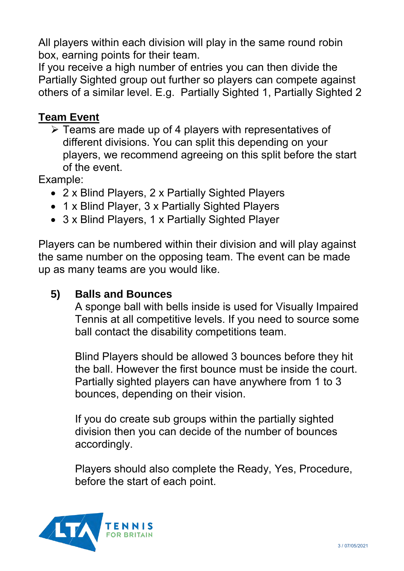All players within each division will play in the same round robin box, earning points for their team.

If you receive a high number of entries you can then divide the Partially Sighted group out further so players can compete against others of a similar level. E.g. Partially Sighted 1, Partially Sighted 2

## **Team Event**

 $\triangleright$  Teams are made up of 4 players with representatives of different divisions. You can split this depending on your players, we recommend agreeing on this split before the start of the event.

Example:

- 2 x Blind Players, 2 x Partially Sighted Players
- 1 x Blind Player, 3 x Partially Sighted Players
- 3 x Blind Players, 1 x Partially Sighted Player

Players can be numbered within their division and will play against the same number on the opposing team. The event can be made up as many teams are you would like.

### **5) Balls and Bounces**

A sponge ball with bells inside is used for Visually Impaired Tennis at all competitive levels. If you need to source some ball contact the disability competitions team.

Blind Players should be allowed 3 bounces before they hit the ball. However the first bounce must be inside the court. Partially sighted players can have anywhere from 1 to 3 bounces, depending on their vision.

If you do create sub groups within the partially sighted division then you can decide of the number of bounces accordingly.

Players should also complete the Ready, Yes, Procedure, before the start of each point.